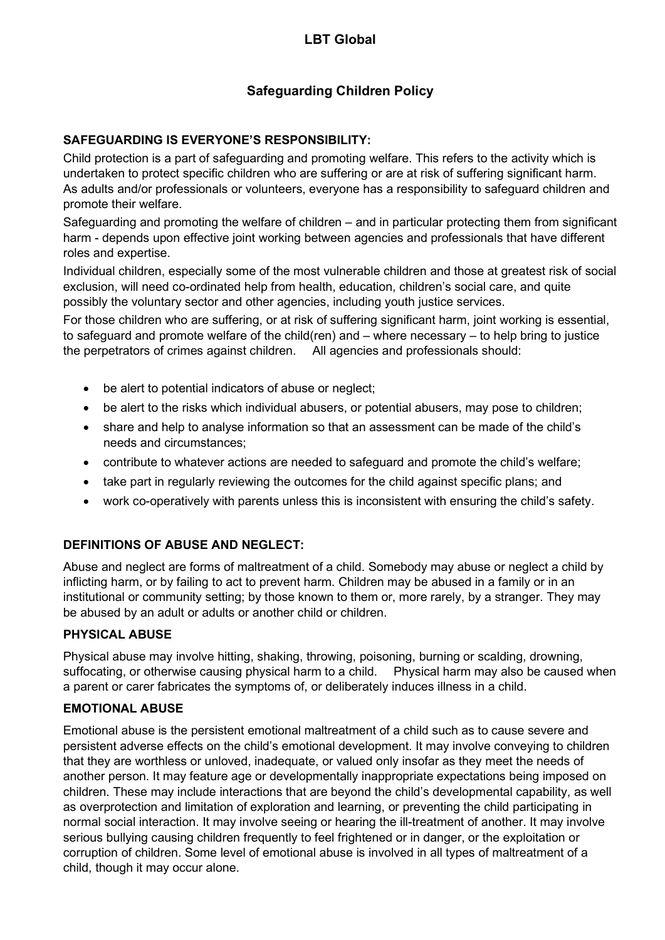# Safeguarding Children Policy

## SAFEGUARDING IS EVERYONE'S RESPONSIBILITY:

Child protection is a part of safeguarding and promoting welfare. This refers to the activity which is undertaken to protect specific children who are suffering or are at risk of suffering significant harm. As adults and/or professionals or volunteers, everyone has a responsibility to safeguard children and promote their welfare.

Safeguarding and promoting the welfare of children – and in particular protecting them from significant harm - depends upon effective joint working between agencies and professionals that have different roles and expertise.

Individual children, especially some of the most vulnerable children and those at greatest risk of social exclusion, will need co-ordinated help from health, education, children's social care, and quite possibly the voluntary sector and other agencies, including youth justice services.

For those children who are suffering, or at risk of suffering significant harm, joint working is essential, to safeguard and promote welfare of the child(ren) and – where necessary – to help bring to justice the perpetrators of crimes against children. All agencies and professionals should:

- be alert to potential indicators of abuse or neglect;
- be alert to the risks which individual abusers, or potential abusers, may pose to children;
- share and help to analyse information so that an assessment can be made of the child's needs and circumstances;
- contribute to whatever actions are needed to safeguard and promote the child's welfare;
- take part in regularly reviewing the outcomes for the child against specific plans; and
- work co-operatively with parents unless this is inconsistent with ensuring the child's safety.

## DEFINITIONS OF ABUSE AND NEGLECT:

Abuse and neglect are forms of maltreatment of a child. Somebody may abuse or neglect a child by inflicting harm, or by failing to act to prevent harm. Children may be abused in a family or in an institutional or community setting; by those known to them or, more rarely, by a stranger. They may be abused by an adult or adults or another child or children.

## PHYSICAL ABUSE

Physical abuse may involve hitting, shaking, throwing, poisoning, burning or scalding, drowning, suffocating, or otherwise causing physical harm to a child. Physical harm may also be caused when a parent or carer fabricates the symptoms of, or deliberately induces illness in a child.

## EMOTIONAL ABUSE

Emotional abuse is the persistent emotional maltreatment of a child such as to cause severe and persistent adverse effects on the child's emotional development. It may involve conveying to children that they are worthless or unloved, inadequate, or valued only insofar as they meet the needs of another person. It may feature age or developmentally inappropriate expectations being imposed on children. These may include interactions that are beyond the child's developmental capability, as well as overprotection and limitation of exploration and learning, or preventing the child participating in normal social interaction. It may involve seeing or hearing the ill-treatment of another. It may involve serious bullying causing children frequently to feel frightened or in danger, or the exploitation or corruption of children. Some level of emotional abuse is involved in all types of maltreatment of a child, though it may occur alone.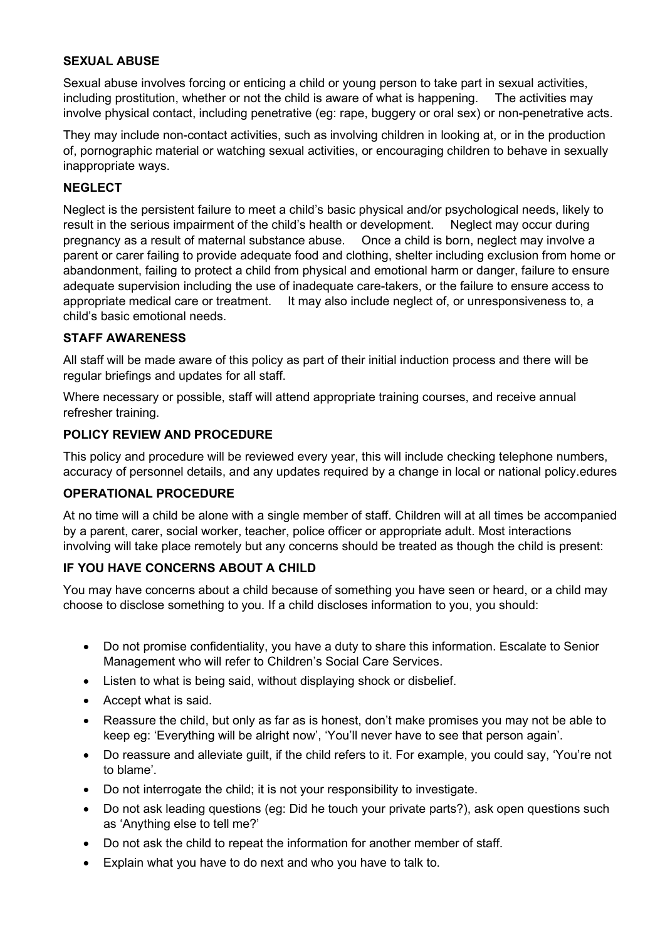#### SEXUAL ABUSE

Sexual abuse involves forcing or enticing a child or young person to take part in sexual activities, including prostitution, whether or not the child is aware of what is happening. The activities may involve physical contact, including penetrative (eg: rape, buggery or oral sex) or non-penetrative acts.

They may include non-contact activities, such as involving children in looking at, or in the production of, pornographic material or watching sexual activities, or encouraging children to behave in sexually inappropriate ways.

## **NEGLECT**

Neglect is the persistent failure to meet a child's basic physical and/or psychological needs, likely to result in the serious impairment of the child's health or development. Neglect may occur during pregnancy as a result of maternal substance abuse. Once a child is born, neglect may involve a parent or carer failing to provide adequate food and clothing, shelter including exclusion from home or abandonment, failing to protect a child from physical and emotional harm or danger, failure to ensure adequate supervision including the use of inadequate care-takers, or the failure to ensure access to appropriate medical care or treatment. It may also include neglect of, or unresponsiveness to, a child's basic emotional needs.

#### STAFF AWARENESS

All staff will be made aware of this policy as part of their initial induction process and there will be regular briefings and updates for all staff.

Where necessary or possible, staff will attend appropriate training courses, and receive annual refresher training.

### POLICY REVIEW AND PROCEDURE

This policy and procedure will be reviewed every year, this will include checking telephone numbers, accuracy of personnel details, and any updates required by a change in local or national policy.edures

#### OPERATIONAL PROCEDURE

At no time will a child be alone with a single member of staff. Children will at all times be accompanied by a parent, carer, social worker, teacher, police officer or appropriate adult. Most interactions involving will take place remotely but any concerns should be treated as though the child is present:

## IF YOU HAVE CONCERNS ABOUT A CHILD

You may have concerns about a child because of something you have seen or heard, or a child may choose to disclose something to you. If a child discloses information to you, you should:

- Do not promise confidentiality, you have a duty to share this information. Escalate to Senior Management who will refer to Children's Social Care Services.
- Listen to what is being said, without displaying shock or disbelief.
- Accept what is said.
- Reassure the child, but only as far as is honest, don't make promises you may not be able to keep eg: 'Everything will be alright now', 'You'll never have to see that person again'.
- Do reassure and alleviate guilt, if the child refers to it. For example, you could say, 'You're not to blame'.
- Do not interrogate the child; it is not your responsibility to investigate.
- Do not ask leading questions (eg: Did he touch your private parts?), ask open questions such as 'Anything else to tell me?'
- Do not ask the child to repeat the information for another member of staff.
- Explain what you have to do next and who you have to talk to.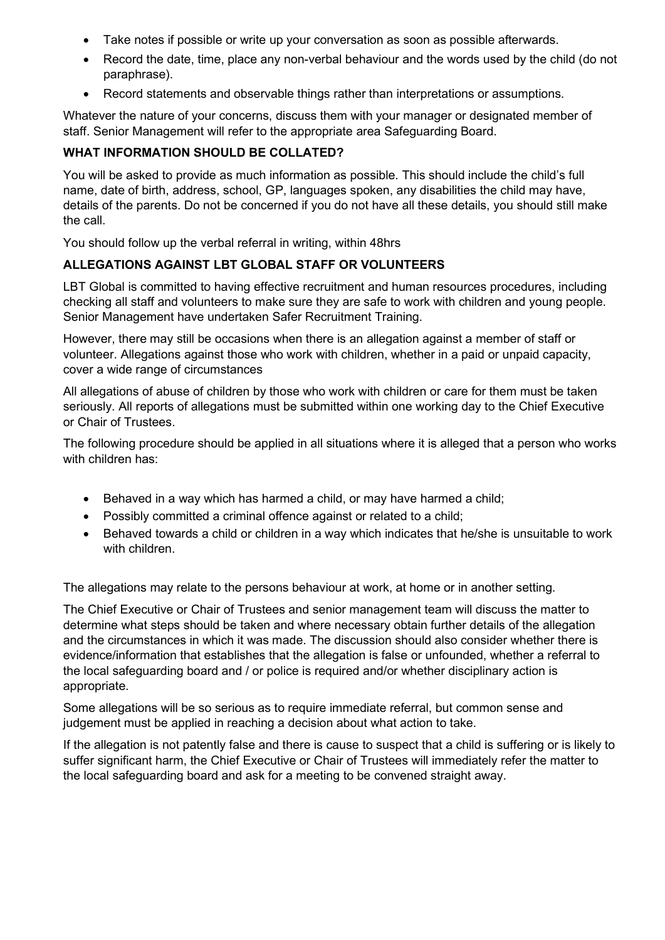- Take notes if possible or write up your conversation as soon as possible afterwards.
- Record the date, time, place any non-verbal behaviour and the words used by the child (do not paraphrase).
- Record statements and observable things rather than interpretations or assumptions.

Whatever the nature of your concerns, discuss them with your manager or designated member of staff. Senior Management will refer to the appropriate area Safeguarding Board.

## WHAT INFORMATION SHOULD BE COLLATED?

You will be asked to provide as much information as possible. This should include the child's full name, date of birth, address, school, GP, languages spoken, any disabilities the child may have, details of the parents. Do not be concerned if you do not have all these details, you should still make the call.

You should follow up the verbal referral in writing, within 48hrs

## ALLEGATIONS AGAINST LBT GLOBAL STAFF OR VOLUNTEERS

LBT Global is committed to having effective recruitment and human resources procedures, including checking all staff and volunteers to make sure they are safe to work with children and young people. Senior Management have undertaken Safer Recruitment Training.

However, there may still be occasions when there is an allegation against a member of staff or volunteer. Allegations against those who work with children, whether in a paid or unpaid capacity, cover a wide range of circumstances

All allegations of abuse of children by those who work with children or care for them must be taken seriously. All reports of allegations must be submitted within one working day to the Chief Executive or Chair of Trustees.

The following procedure should be applied in all situations where it is alleged that a person who works with children has:

- Behaved in a way which has harmed a child, or may have harmed a child;
- Possibly committed a criminal offence against or related to a child;
- Behaved towards a child or children in a way which indicates that he/she is unsuitable to work with children

The allegations may relate to the persons behaviour at work, at home or in another setting.

The Chief Executive or Chair of Trustees and senior management team will discuss the matter to determine what steps should be taken and where necessary obtain further details of the allegation and the circumstances in which it was made. The discussion should also consider whether there is evidence/information that establishes that the allegation is false or unfounded, whether a referral to the local safeguarding board and / or police is required and/or whether disciplinary action is appropriate.

Some allegations will be so serious as to require immediate referral, but common sense and judgement must be applied in reaching a decision about what action to take.

If the allegation is not patently false and there is cause to suspect that a child is suffering or is likely to suffer significant harm, the Chief Executive or Chair of Trustees will immediately refer the matter to the local safeguarding board and ask for a meeting to be convened straight away.